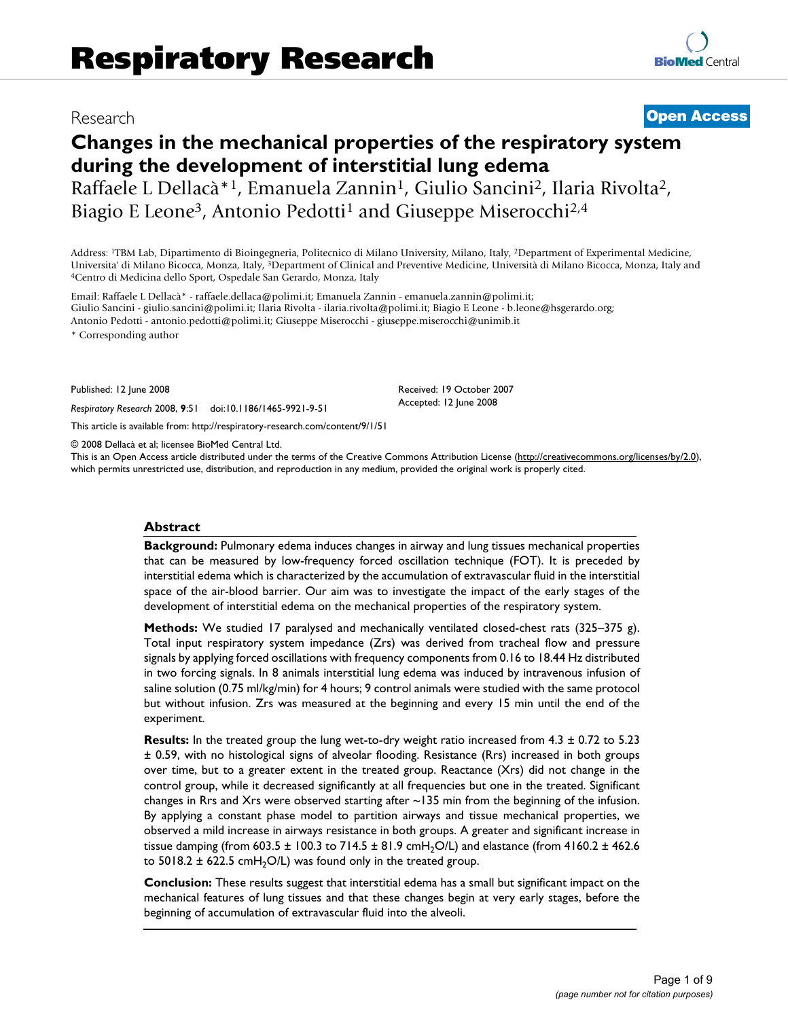# Research **[Open Access](http://www.biomedcentral.com/info/about/charter/)**

# **Changes in the mechanical properties of the respiratory system during the development of interstitial lung edema** Raffaele L Dellacà\*<sup>1</sup>, Emanuela Zannin<sup>1</sup>, Giulio Sancini<sup>2</sup>, Ilaria Rivolta<sup>2</sup>,

Received: 19 October 2007 Accepted: 12 June 2008

Biagio E Leone<sup>3</sup>, Antonio Pedotti<sup>1</sup> and Giuseppe Miserocchi<sup>2,4</sup>

Address: 1TBM Lab, Dipartimento di Bioingegneria, Politecnico di Milano University, Milano, Italy, 2Department of Experimental Medicine, Universita' di Milano Bicocca, Monza, Italy, <sup>3</sup>Department of Clinical and Preventive Medicine, Università di Milano Bicocca, Monza, Italy and 4Centro di Medicina dello Sport, Ospedale San Gerardo, Monza, Italy

Email: Raffaele L Dellacà\* - raffaele.dellaca@polimi.it; Emanuela Zannin - emanuela.zannin@polimi.it; Giulio Sancini - giulio.sancini@polimi.it; Ilaria Rivolta - ilaria.rivolta@polimi.it; Biagio E Leone - b.leone@hsgerardo.org; Antonio Pedotti - antonio.pedotti@polimi.it; Giuseppe Miserocchi - giuseppe.miserocchi@unimib.it

\* Corresponding author

Published: 12 June 2008

*Respiratory Research* 2008, **9**:51 doi:10.1186/1465-9921-9-51

[This article is available from: http://respiratory-research.com/content/9/1/51](http://respiratory-research.com/content/9/1/51)

© 2008 Dellacà et al; licensee BioMed Central Ltd.

This is an Open Access article distributed under the terms of the Creative Commons Attribution License [\(http://creativecommons.org/licenses/by/2.0\)](http://creativecommons.org/licenses/by/2.0), which permits unrestricted use, distribution, and reproduction in any medium, provided the original work is properly cited.

#### **Abstract**

**Background:** Pulmonary edema induces changes in airway and lung tissues mechanical properties that can be measured by low-frequency forced oscillation technique (FOT). It is preceded by interstitial edema which is characterized by the accumulation of extravascular fluid in the interstitial space of the air-blood barrier. Our aim was to investigate the impact of the early stages of the development of interstitial edema on the mechanical properties of the respiratory system.

**Methods:** We studied 17 paralysed and mechanically ventilated closed-chest rats (325–375 g). Total input respiratory system impedance (Zrs) was derived from tracheal flow and pressure signals by applying forced oscillations with frequency components from 0.16 to 18.44 Hz distributed in two forcing signals. In 8 animals interstitial lung edema was induced by intravenous infusion of saline solution (0.75 ml/kg/min) for 4 hours; 9 control animals were studied with the same protocol but without infusion. Zrs was measured at the beginning and every 15 min until the end of the experiment.

**Results:** In the treated group the lung wet-to-dry weight ratio increased from 4.3 ± 0.72 to 5.23 ± 0.59, with no histological signs of alveolar flooding. Resistance (Rrs) increased in both groups over time, but to a greater extent in the treated group. Reactance (Xrs) did not change in the control group, while it decreased significantly at all frequencies but one in the treated. Significant changes in Rrs and Xrs were observed starting after  $\sim$  135 min from the beginning of the infusion. By applying a constant phase model to partition airways and tissue mechanical properties, we observed a mild increase in airways resistance in both groups. A greater and significant increase in tissue damping (from  $603.5 \pm 100.3$  to  $714.5 \pm 81.9$  cmH<sub>2</sub>O/L) and elastance (from 4160.2  $\pm$  462.6 to 5018.2  $\pm$  622.5 cmH<sub>2</sub>O/L) was found only in the treated group.

**Conclusion:** These results suggest that interstitial edema has a small but significant impact on the mechanical features of lung tissues and that these changes begin at very early stages, before the beginning of accumulation of extravascular fluid into the alveoli.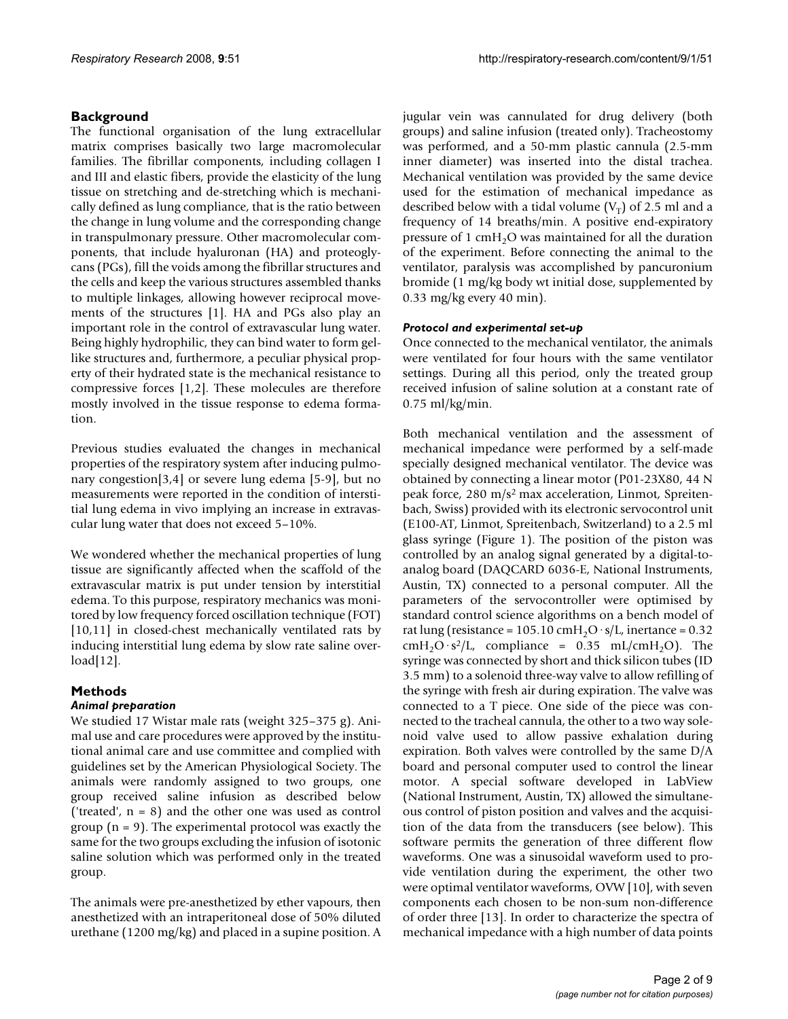# **Background**

The functional organisation of the lung extracellular matrix comprises basically two large macromolecular families. The fibrillar components, including collagen I and III and elastic fibers, provide the elasticity of the lung tissue on stretching and de-stretching which is mechanically defined as lung compliance, that is the ratio between the change in lung volume and the corresponding change in transpulmonary pressure. Other macromolecular components, that include hyaluronan (HA) and proteoglycans (PGs), fill the voids among the fibrillar structures and the cells and keep the various structures assembled thanks to multiple linkages, allowing however reciprocal movements of the structures [1]. HA and PGs also play an important role in the control of extravascular lung water. Being highly hydrophilic, they can bind water to form gellike structures and, furthermore, a peculiar physical property of their hydrated state is the mechanical resistance to compressive forces [1,2]. These molecules are therefore mostly involved in the tissue response to edema formation.

Previous studies evaluated the changes in mechanical properties of the respiratory system after inducing pulmonary congestion[3,4] or severe lung edema [5-9], but no measurements were reported in the condition of interstitial lung edema in vivo implying an increase in extravascular lung water that does not exceed 5–10%.

We wondered whether the mechanical properties of lung tissue are significantly affected when the scaffold of the extravascular matrix is put under tension by interstitial edema. To this purpose, respiratory mechanics was monitored by low frequency forced oscillation technique (FOT) [10,11] in closed-chest mechanically ventilated rats by inducing interstitial lung edema by slow rate saline over $load[12]$ .

# **Methods**

# *Animal preparation*

We studied 17 Wistar male rats (weight 325–375 g). Animal use and care procedures were approved by the institutional animal care and use committee and complied with guidelines set by the American Physiological Society. The animals were randomly assigned to two groups, one group received saline infusion as described below ('treated',  $n = 8$ ) and the other one was used as control group  $(n = 9)$ . The experimental protocol was exactly the same for the two groups excluding the infusion of isotonic saline solution which was performed only in the treated group.

The animals were pre-anesthetized by ether vapours, then anesthetized with an intraperitoneal dose of 50% diluted urethane (1200 mg/kg) and placed in a supine position. A

jugular vein was cannulated for drug delivery (both groups) and saline infusion (treated only). Tracheostomy was performed, and a 50-mm plastic cannula (2.5-mm inner diameter) was inserted into the distal trachea. Mechanical ventilation was provided by the same device used for the estimation of mechanical impedance as described below with a tidal volume  $(V_T)$  of 2.5 ml and a frequency of 14 breaths/min. A positive end-expiratory pressure of 1 cmH<sub>2</sub>O was maintained for all the duration of the experiment. Before connecting the animal to the ventilator, paralysis was accomplished by pancuronium bromide (1 mg/kg body wt initial dose, supplemented by 0.33 mg/kg every 40 min).

## *Protocol and experimental set-up*

Once connected to the mechanical ventilator, the animals were ventilated for four hours with the same ventilator settings. During all this period, only the treated group received infusion of saline solution at a constant rate of 0.75 ml/kg/min.

Both mechanical ventilation and the assessment of mechanical impedance were performed by a self-made specially designed mechanical ventilator. The device was obtained by connecting a linear motor (P01-23X80, 44 N peak force, 280 m/s2 max acceleration, Linmot, Spreitenbach, Swiss) provided with its electronic servocontrol unit (E100-AT, Linmot, Spreitenbach, Switzerland) to a 2.5 ml glass syringe (Figure 1). The position of the piston was controlled by an analog signal generated by a digital-toanalog board (DAQCARD 6036-E, National Instruments, Austin, TX) connected to a personal computer. All the parameters of the servocontroller were optimised by standard control science algorithms on a bench model of rat lung (resistance =  $105.10 \text{ cm} +1.00 \cdot \text{s}$ /L, inertance = 0.32 cmH<sub>2</sub>O·s<sup>2</sup>/L, compliance = 0.35 mL/cmH<sub>2</sub>O). The syringe was connected by short and thick silicon tubes (ID 3.5 mm) to a solenoid three-way valve to allow refilling of the syringe with fresh air during expiration. The valve was connected to a T piece. One side of the piece was connected to the tracheal cannula, the other to a two way solenoid valve used to allow passive exhalation during expiration. Both valves were controlled by the same D/A board and personal computer used to control the linear motor. A special software developed in LabView (National Instrument, Austin, TX) allowed the simultaneous control of piston position and valves and the acquisition of the data from the transducers (see below). This software permits the generation of three different flow waveforms. One was a sinusoidal waveform used to provide ventilation during the experiment, the other two were optimal ventilator waveforms, OVW [10], with seven components each chosen to be non-sum non-difference of order three [13]. In order to characterize the spectra of mechanical impedance with a high number of data points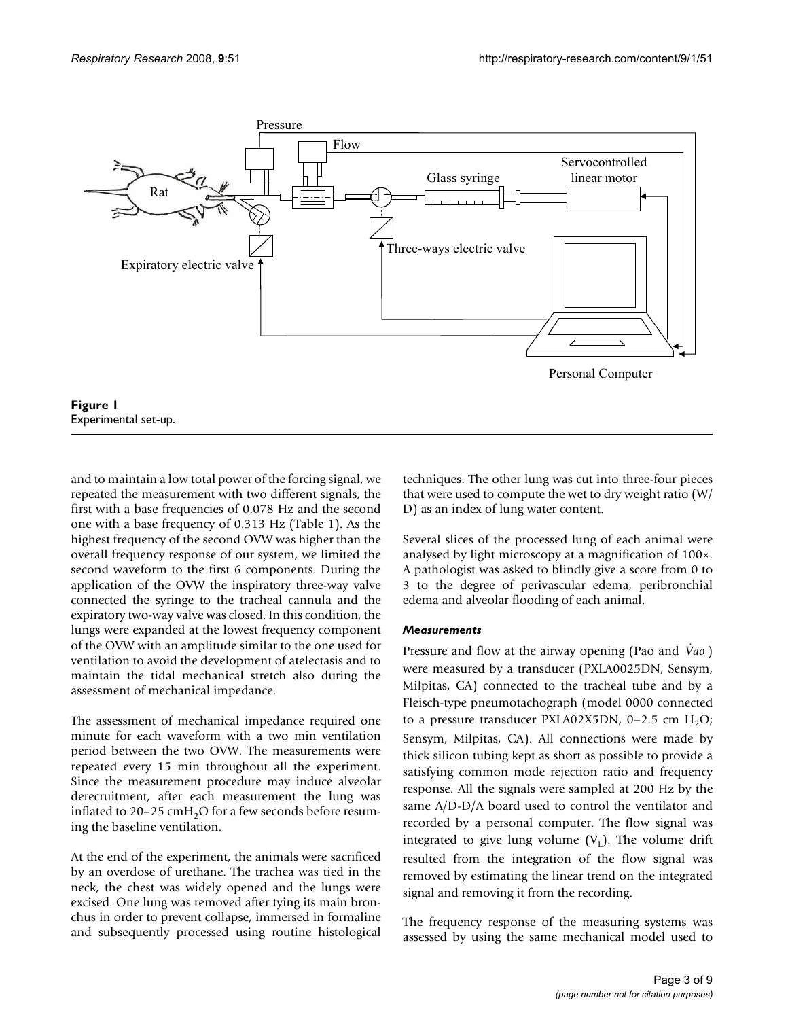

and to maintain a low total power of the forcing signal, we repeated the measurement with two different signals, the first with a base frequencies of 0.078 Hz and the second one with a base frequency of 0.313 Hz (Table 1). As the highest frequency of the second OVW was higher than the overall frequency response of our system, we limited the second waveform to the first 6 components. During the application of the OVW the inspiratory three-way valve connected the syringe to the tracheal cannula and the expiratory two-way valve was closed. In this condition, the lungs were expanded at the lowest frequency component of the OVW with an amplitude similar to the one used for ventilation to avoid the development of atelectasis and to maintain the tidal mechanical stretch also during the assessment of mechanical impedance.

The assessment of mechanical impedance required one minute for each waveform with a two min ventilation period between the two OVW. The measurements were repeated every 15 min throughout all the experiment. Since the measurement procedure may induce alveolar derecruitment, after each measurement the lung was inflated to  $20-25$  cmH<sub>2</sub>O for a few seconds before resuming the baseline ventilation.

At the end of the experiment, the animals were sacrificed by an overdose of urethane. The trachea was tied in the neck, the chest was widely opened and the lungs were excised. One lung was removed after tying its main bronchus in order to prevent collapse, immersed in formaline and subsequently processed using routine histological

techniques. The other lung was cut into three-four pieces that were used to compute the wet to dry weight ratio (W/ D) as an index of lung water content.

Several slices of the processed lung of each animal were analysed by light microscopy at a magnification of 100×. A pathologist was asked to blindly give a score from 0 to 3 to the degree of perivascular edema, peribronchial edema and alveolar flooding of each animal.

## *Measurements*

Pressure and flow at the airway opening (Pao and Vao) were measured by a transducer (PXLA0025DN, Sensym, Milpitas, CA) connected to the tracheal tube and by a Fleisch-type pneumotachograph (model 0000 connected to a pressure transducer PXLA02X5DN, 0-2.5 cm  $H_2O$ ; Sensym, Milpitas, CA). All connections were made by thick silicon tubing kept as short as possible to provide a satisfying common mode rejection ratio and frequency response. All the signals were sampled at 200 Hz by the same A/D-D/A board used to control the ventilator and recorded by a personal computer. The flow signal was integrated to give lung volume  $(V_L)$ . The volume drift resulted from the integration of the flow signal was removed by estimating the linear trend on the integrated signal and removing it from the recording.

The frequency response of the measuring systems was assessed by using the same mechanical model used to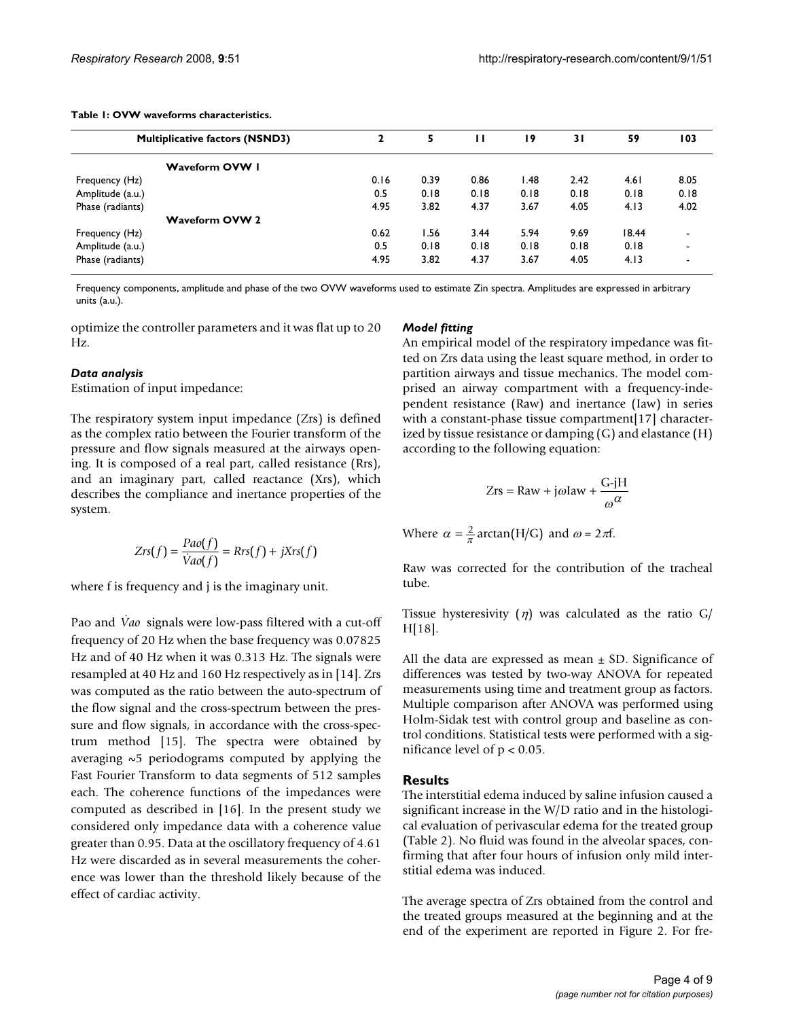#### **Table 1: OVW waveforms characteristics.**

| <b>Multiplicative factors (NSND3)</b> | 2    | 5    | п    | 19   | 31   | 59    | 103                      |
|---------------------------------------|------|------|------|------|------|-------|--------------------------|
| Waveform OVW I                        |      |      |      |      |      |       |                          |
| Frequency (Hz)                        | 0.16 | 0.39 | 0.86 | l.48 | 2.42 | 4.61  | 8.05                     |
| Amplitude (a.u.)                      | 0.5  | 0.18 | 0.18 | 0.18 | 0.18 | 0.18  | 0.18                     |
| Phase (radiants)                      | 4.95 | 3.82 | 4.37 | 3.67 | 4.05 | 4.13  | 4.02                     |
| <b>Waveform OVW 2</b>                 |      |      |      |      |      |       |                          |
| Frequency (Hz)                        | 0.62 | 1.56 | 3.44 | 5.94 | 9.69 | 18.44 |                          |
| Amplitude (a.u.)                      | 0.5  | 0.18 | 0.18 | 0.18 | 0.18 | 0.18  |                          |
| Phase (radiants)                      | 4.95 | 3.82 | 4.37 | 3.67 | 4.05 | 4.13  | $\overline{\phantom{a}}$ |

Frequency components, amplitude and phase of the two OVW waveforms used to estimate Zin spectra. Amplitudes are expressed in arbitrary units (a.u.).

optimize the controller parameters and it was flat up to 20 Hz.

#### *Data analysis*

Estimation of input impedance:

The respiratory system input impedance (Zrs) is defined as the complex ratio between the Fourier transform of the pressure and flow signals measured at the airways opening. It is composed of a real part, called resistance (Rrs), and an imaginary part, called reactance (Xrs), which describes the compliance and inertance properties of the system.

$$
Zrs(f) = \frac{Pao(f)}{\dot{Vao}(f)} = Rrs(f) + jXrs(f)
$$

where f is frequency and j is the imaginary unit.

Pao and Vao signals were low-pass filtered with a cut-off frequency of 20 Hz when the base frequency was 0.07825 Hz and of 40 Hz when it was 0.313 Hz. The signals were resampled at 40 Hz and 160 Hz respectively as in [14]. Zrs was computed as the ratio between the auto-spectrum of the flow signal and the cross-spectrum between the pressure and flow signals, in accordance with the cross-spectrum method [15]. The spectra were obtained by averaging  $~5$  periodograms computed by applying the Fast Fourier Transform to data segments of 512 samples each. The coherence functions of the impedances were computed as described in [16]. In the present study we considered only impedance data with a coherence value greater than 0.95. Data at the oscillatory frequency of 4.61 Hz were discarded as in several measurements the coherence was lower than the threshold likely because of the effect of cardiac activity.

#### *Model fitting*

An empirical model of the respiratory impedance was fitted on Zrs data using the least square method, in order to partition airways and tissue mechanics. The model comprised an airway compartment with a frequency-independent resistance (Raw) and inertance (Iaw) in series with a constant-phase tissue compartment[17] characterized by tissue resistance or damping  $(G)$  and elastance  $(H)$ according to the following equation:

$$
Zrs = Raw + j\omega law + \frac{G-jH}{\omega^{\alpha}}
$$

Where  $\alpha = \frac{2}{\pi} \arctan(H/G)$  and  $\omega = 2\pi f$ .

Raw was corrected for the contribution of the tracheal tube.

Tissue hysteresivity  $(\eta)$  was calculated as the ratio G/ H[18].

All the data are expressed as mean  $\pm$  SD. Significance of differences was tested by two-way ANOVA for repeated measurements using time and treatment group as factors. Multiple comparison after ANOVA was performed using Holm-Sidak test with control group and baseline as control conditions. Statistical tests were performed with a significance level of  $p < 0.05$ .

## **Results**

The interstitial edema induced by saline infusion caused a significant increase in the W/D ratio and in the histological evaluation of perivascular edema for the treated group (Table 2). No fluid was found in the alveolar spaces, confirming that after four hours of infusion only mild interstitial edema was induced.

The average spectra of Zrs obtained from the control and the treated groups measured at the beginning and at the end of the experiment are reported in Figure 2. For fre-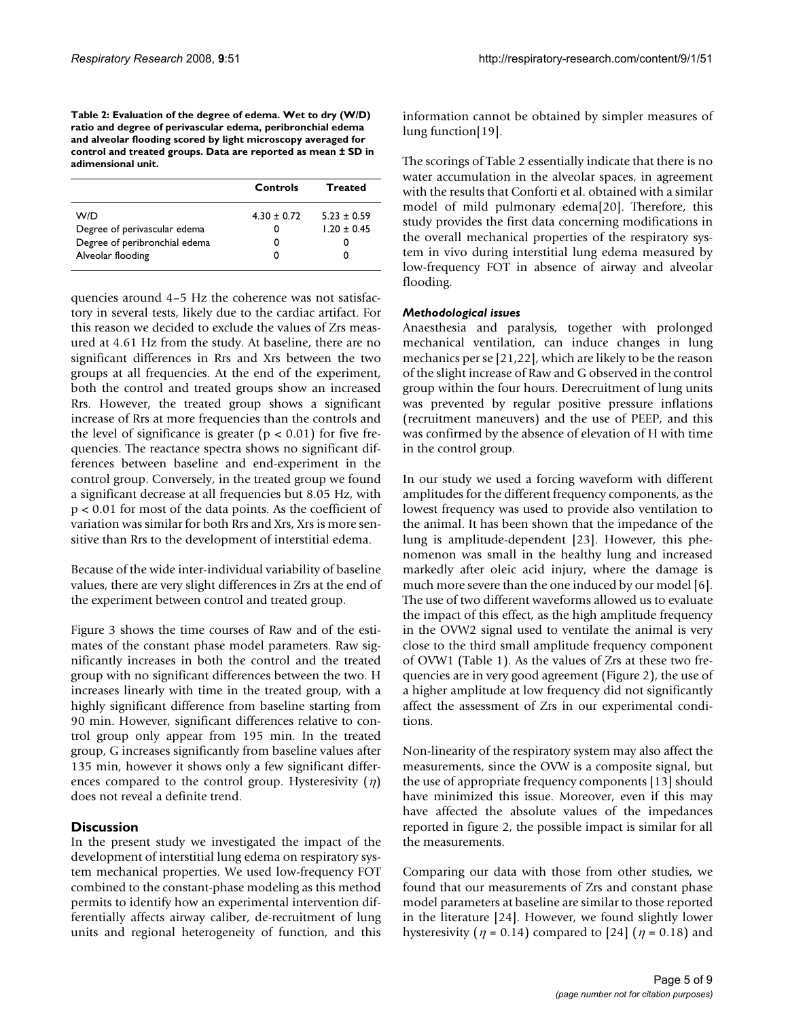**Table 2: Evaluation of the degree of edema. Wet to dry (W/D) ratio and degree of perivascular edema, peribronchial edema and alveolar flooding scored by light microscopy averaged for control and treated groups. Data are reported as mean ± SD in adimensional unit.**

|                                                                      | Controls        | <b>Treated</b>                 |
|----------------------------------------------------------------------|-----------------|--------------------------------|
| W/D<br>Degree of perivascular edema<br>Degree of peribronchial edema | $4.30 \pm 0.72$ | $5.23 + 0.59$<br>$1.20 + 0.45$ |
| Alveolar flooding                                                    |                 |                                |

quencies around 4–5 Hz the coherence was not satisfactory in several tests, likely due to the cardiac artifact. For this reason we decided to exclude the values of Zrs measured at 4.61 Hz from the study. At baseline, there are no significant differences in Rrs and Xrs between the two groups at all frequencies. At the end of the experiment, both the control and treated groups show an increased Rrs. However, the treated group shows a significant increase of Rrs at more frequencies than the controls and the level of significance is greater ( $p < 0.01$ ) for five frequencies. The reactance spectra shows no significant differences between baseline and end-experiment in the control group. Conversely, in the treated group we found a significant decrease at all frequencies but 8.05 Hz, with p < 0.01 for most of the data points. As the coefficient of variation was similar for both Rrs and Xrs, Xrs is more sensitive than Rrs to the development of interstitial edema.

Because of the wide inter-individual variability of baseline values, there are very slight differences in Zrs at the end of the experiment between control and treated group.

Figure 3 shows the time courses of Raw and of the estimates of the constant phase model parameters. Raw significantly increases in both the control and the treated group with no significant differences between the two. H increases linearly with time in the treated group, with a highly significant difference from baseline starting from 90 min. However, significant differences relative to control group only appear from 195 min. In the treated group, G increases significantly from baseline values after 135 min, however it shows only a few significant differences compared to the control group. Hysteresivity  $(η)$ does not reveal a definite trend.

#### **Discussion**

In the present study we investigated the impact of the development of interstitial lung edema on respiratory system mechanical properties. We used low-frequency FOT combined to the constant-phase modeling as this method permits to identify how an experimental intervention differentially affects airway caliber, de-recruitment of lung units and regional heterogeneity of function, and this information cannot be obtained by simpler measures of lung function[19].

The scorings of Table 2 essentially indicate that there is no water accumulation in the alveolar spaces, in agreement with the results that Conforti et al. obtained with a similar model of mild pulmonary edema[20]. Therefore, this study provides the first data concerning modifications in the overall mechanical properties of the respiratory system in vivo during interstitial lung edema measured by low-frequency FOT in absence of airway and alveolar flooding.

#### *Methodological issues*

Anaesthesia and paralysis, together with prolonged mechanical ventilation, can induce changes in lung mechanics per se [21,22], which are likely to be the reason of the slight increase of Raw and G observed in the control group within the four hours. Derecruitment of lung units was prevented by regular positive pressure inflations (recruitment maneuvers) and the use of PEEP, and this was confirmed by the absence of elevation of H with time in the control group.

In our study we used a forcing waveform with different amplitudes for the different frequency components, as the lowest frequency was used to provide also ventilation to the animal. It has been shown that the impedance of the lung is amplitude-dependent [23]. However, this phenomenon was small in the healthy lung and increased markedly after oleic acid injury, where the damage is much more severe than the one induced by our model [6]. The use of two different waveforms allowed us to evaluate the impact of this effect, as the high amplitude frequency in the OVW2 signal used to ventilate the animal is very close to the third small amplitude frequency component of OVW1 (Table 1). As the values of Zrs at these two frequencies are in very good agreement (Figure 2), the use of a higher amplitude at low frequency did not significantly affect the assessment of Zrs in our experimental conditions.

Non-linearity of the respiratory system may also affect the measurements, since the OVW is a composite signal, but the use of appropriate frequency components [13] should have minimized this issue. Moreover, even if this may have affected the absolute values of the impedances reported in figure 2, the possible impact is similar for all the measurements.

Comparing our data with those from other studies, we found that our measurements of Zrs and constant phase model parameters at baseline are similar to those reported in the literature [24]. However, we found slightly lower hysteresivity ( $\eta$  = 0.14) compared to [24] ( $\eta$  = 0.18) and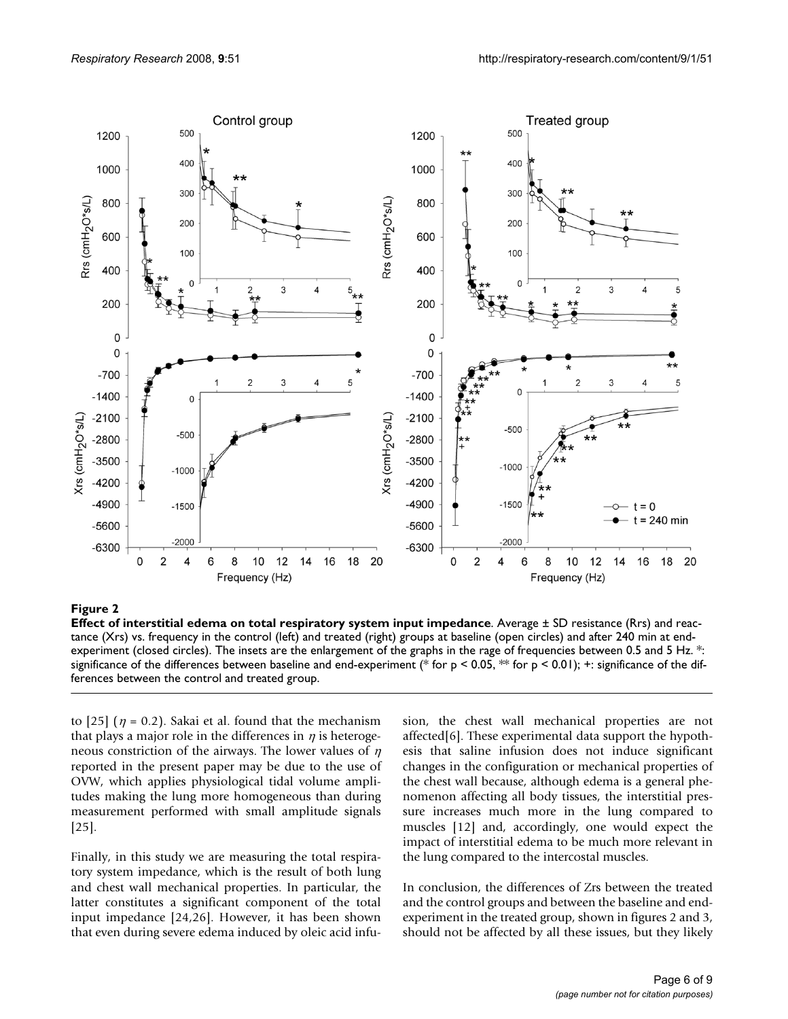

## Figure 2

**Effect of interstitial edema on total respiratory system input impedance**. Average ± SD resistance (Rrs) and reactance (Xrs) vs. frequency in the control (left) and treated (right) groups at baseline (open circles) and after 240 min at endexperiment (closed circles). The insets are the enlargement of the graphs in the rage of frequencies between 0.5 and 5 Hz. \*: significance of the differences between baseline and end-experiment (\* for  $p < 0.05$ , \*\* for  $p < 0.01$ ); +: significance of the differences between the control and treated group.

to [25] ( $\eta$  = 0.2). Sakai et al. found that the mechanism that plays a major role in the differences in  $\eta$  is heterogeneous constriction of the airways. The lower values of  $\eta$ reported in the present paper may be due to the use of OVW, which applies physiological tidal volume amplitudes making the lung more homogeneous than during measurement performed with small amplitude signals  $[25]$ .

Finally, in this study we are measuring the total respiratory system impedance, which is the result of both lung and chest wall mechanical properties. In particular, the latter constitutes a significant component of the total input impedance [24,26]. However, it has been shown that even during severe edema induced by oleic acid infusion, the chest wall mechanical properties are not affected[6]. These experimental data support the hypothesis that saline infusion does not induce significant changes in the configuration or mechanical properties of the chest wall because, although edema is a general phenomenon affecting all body tissues, the interstitial pressure increases much more in the lung compared to muscles [12] and, accordingly, one would expect the impact of interstitial edema to be much more relevant in the lung compared to the intercostal muscles.

In conclusion, the differences of Zrs between the treated and the control groups and between the baseline and endexperiment in the treated group, shown in figures 2 and 3, should not be affected by all these issues, but they likely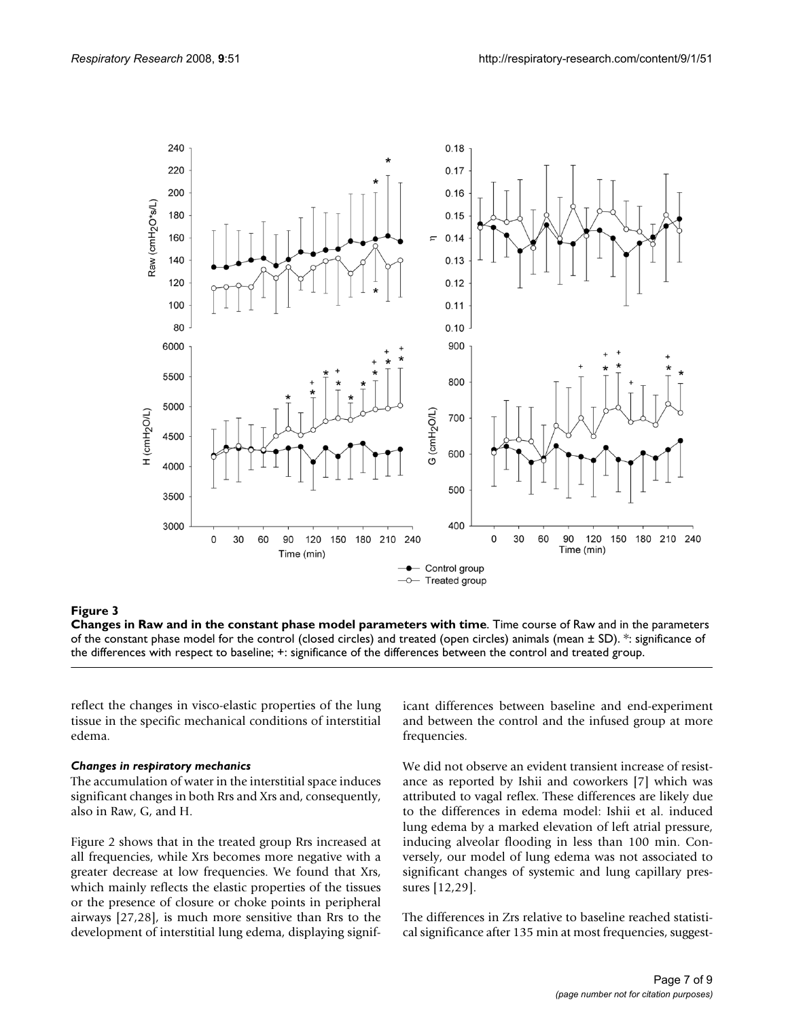

## Figure 3

**Changes in Raw and in the constant phase model parameters with time**. Time course of Raw and in the parameters of the constant phase model for the control (closed circles) and treated (open circles) animals (mean  $\pm$  SD). \*: significance of the differences with respect to baseline; +: significance of the differences between the control and treated group.

reflect the changes in visco-elastic properties of the lung tissue in the specific mechanical conditions of interstitial edema.

#### *Changes in respiratory mechanics*

The accumulation of water in the interstitial space induces significant changes in both Rrs and Xrs and, consequently, also in Raw, G, and H.

Figure 2 shows that in the treated group Rrs increased at all frequencies, while Xrs becomes more negative with a greater decrease at low frequencies. We found that Xrs, which mainly reflects the elastic properties of the tissues or the presence of closure or choke points in peripheral airways [27,28], is much more sensitive than Rrs to the development of interstitial lung edema, displaying significant differences between baseline and end-experiment and between the control and the infused group at more frequencies.

We did not observe an evident transient increase of resistance as reported by Ishii and coworkers [7] which was attributed to vagal reflex. These differences are likely due to the differences in edema model: Ishii et al. induced lung edema by a marked elevation of left atrial pressure, inducing alveolar flooding in less than 100 min. Conversely, our model of lung edema was not associated to significant changes of systemic and lung capillary pressures [12,29].

The differences in Zrs relative to baseline reached statistical significance after 135 min at most frequencies, suggest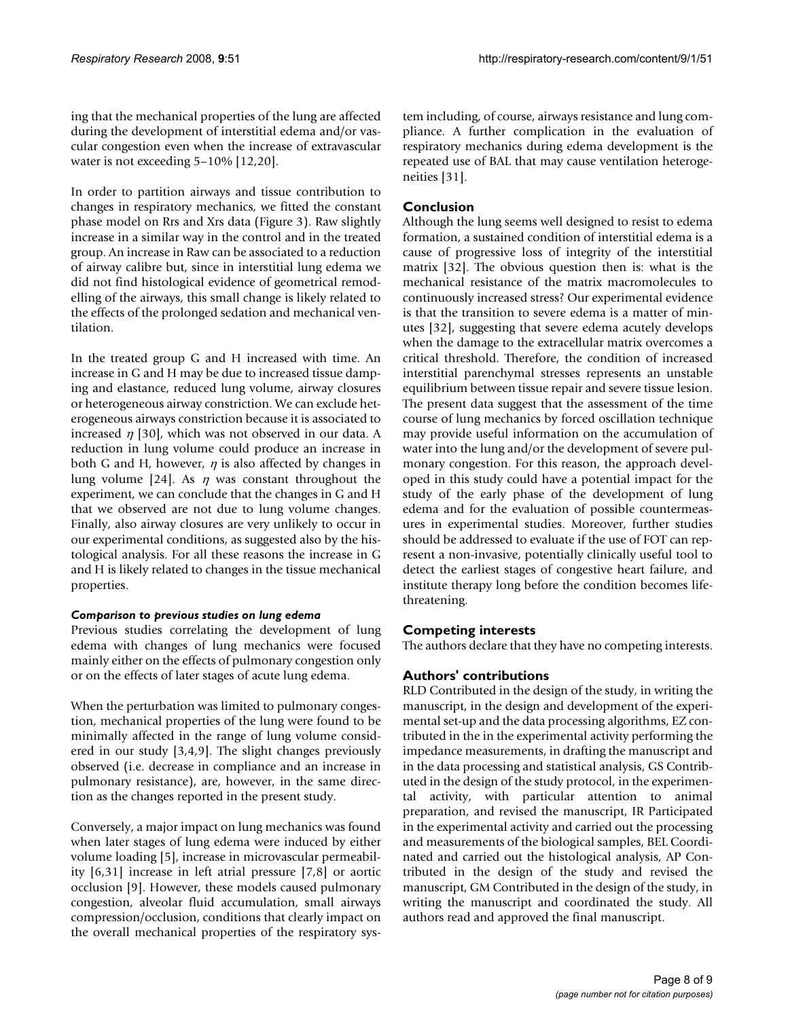ing that the mechanical properties of the lung are affected during the development of interstitial edema and/or vascular congestion even when the increase of extravascular water is not exceeding 5–10% [12,20].

In order to partition airways and tissue contribution to changes in respiratory mechanics, we fitted the constant phase model on Rrs and Xrs data (Figure 3). Raw slightly increase in a similar way in the control and in the treated group. An increase in Raw can be associated to a reduction of airway calibre but, since in interstitial lung edema we did not find histological evidence of geometrical remodelling of the airways, this small change is likely related to the effects of the prolonged sedation and mechanical ventilation.

In the treated group G and H increased with time. An increase in G and H may be due to increased tissue damping and elastance, reduced lung volume, airway closures or heterogeneous airway constriction. We can exclude heterogeneous airways constriction because it is associated to increased  $\eta$  [30], which was not observed in our data. A reduction in lung volume could produce an increase in both G and H, however,  $\eta$  is also affected by changes in lung volume [24]. As  $\eta$  was constant throughout the experiment, we can conclude that the changes in G and H that we observed are not due to lung volume changes. Finally, also airway closures are very unlikely to occur in our experimental conditions, as suggested also by the histological analysis. For all these reasons the increase in G and H is likely related to changes in the tissue mechanical properties.

## *Comparison to previous studies on lung edema*

Previous studies correlating the development of lung edema with changes of lung mechanics were focused mainly either on the effects of pulmonary congestion only or on the effects of later stages of acute lung edema.

When the perturbation was limited to pulmonary congestion, mechanical properties of the lung were found to be minimally affected in the range of lung volume considered in our study [3,4,9]. The slight changes previously observed (i.e. decrease in compliance and an increase in pulmonary resistance), are, however, in the same direction as the changes reported in the present study.

Conversely, a major impact on lung mechanics was found when later stages of lung edema were induced by either volume loading [5], increase in microvascular permeability [6,31] increase in left atrial pressure [7,8] or aortic occlusion [9]. However, these models caused pulmonary congestion, alveolar fluid accumulation, small airways compression/occlusion, conditions that clearly impact on the overall mechanical properties of the respiratory system including, of course, airways resistance and lung compliance. A further complication in the evaluation of respiratory mechanics during edema development is the repeated use of BAL that may cause ventilation heterogeneities [31].

# **Conclusion**

Although the lung seems well designed to resist to edema formation, a sustained condition of interstitial edema is a cause of progressive loss of integrity of the interstitial matrix [32]. The obvious question then is: what is the mechanical resistance of the matrix macromolecules to continuously increased stress? Our experimental evidence is that the transition to severe edema is a matter of minutes [32], suggesting that severe edema acutely develops when the damage to the extracellular matrix overcomes a critical threshold. Therefore, the condition of increased interstitial parenchymal stresses represents an unstable equilibrium between tissue repair and severe tissue lesion. The present data suggest that the assessment of the time course of lung mechanics by forced oscillation technique may provide useful information on the accumulation of water into the lung and/or the development of severe pulmonary congestion. For this reason, the approach developed in this study could have a potential impact for the study of the early phase of the development of lung edema and for the evaluation of possible countermeasures in experimental studies. Moreover, further studies should be addressed to evaluate if the use of FOT can represent a non-invasive, potentially clinically useful tool to detect the earliest stages of congestive heart failure, and institute therapy long before the condition becomes lifethreatening.

# **Competing interests**

The authors declare that they have no competing interests.

# **Authors' contributions**

RLD Contributed in the design of the study, in writing the manuscript, in the design and development of the experimental set-up and the data processing algorithms, EZ contributed in the in the experimental activity performing the impedance measurements, in drafting the manuscript and in the data processing and statistical analysis, GS Contributed in the design of the study protocol, in the experimental activity, with particular attention to animal preparation, and revised the manuscript, IR Participated in the experimental activity and carried out the processing and measurements of the biological samples, BEL Coordinated and carried out the histological analysis, AP Contributed in the design of the study and revised the manuscript, GM Contributed in the design of the study, in writing the manuscript and coordinated the study. All authors read and approved the final manuscript.